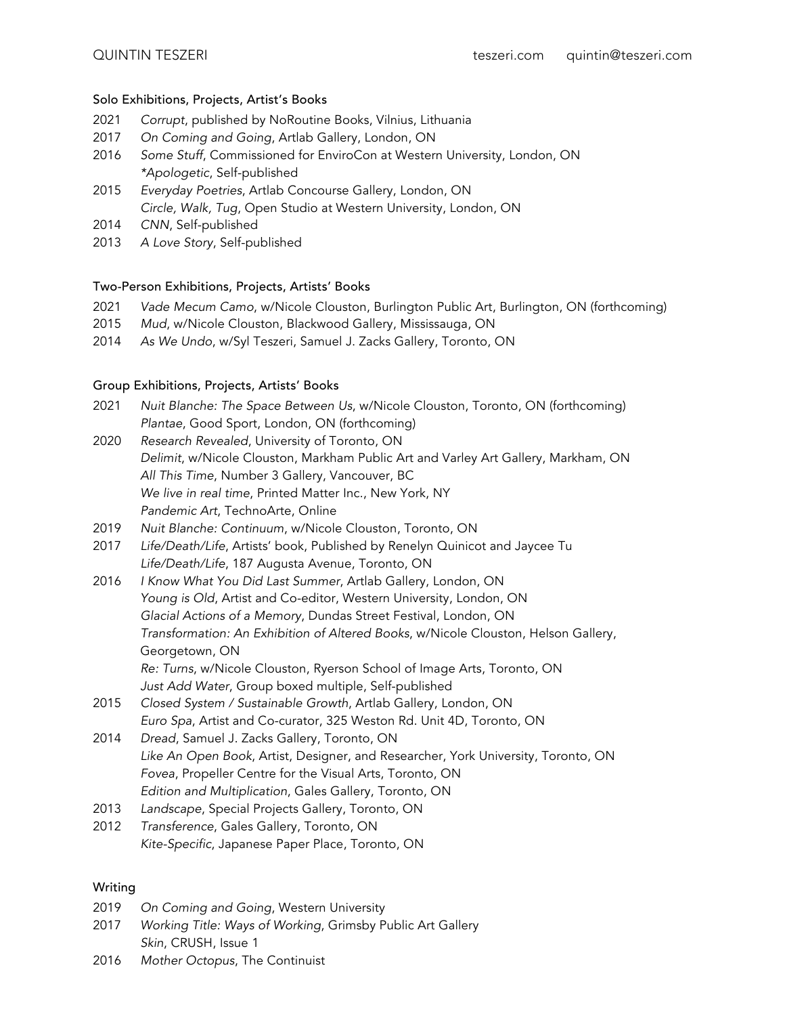# Solo Exhibitions, Projects, Artist's Books

- 2021 *Corrupt*, published by NoRoutine Books, Vilnius, Lithuania
- 2017 *On Coming and Going*, Artlab Gallery, London, ON
- 2016 *Some Stuff*, Commissioned for EnviroCon at Western University, London, ON *\*Apologetic*, Self-published
- 2015 *Everyday Poetries*, Artlab Concourse Gallery, London, ON *Circle, Walk, Tug*, Open Studio at Western University, London, ON
- 2014 *CNN*, Self-published
- 2013 *A Love Story*, Self-published

#### Two-Person Exhibitions, Projects, Artists' Books

- 2021 *Vade Mecum Camo*, w/Nicole Clouston, Burlington Public Art, Burlington, ON (forthcoming)
- 2015 *Mud*, w/Nicole Clouston, Blackwood Gallery, Mississauga, ON
- 2014 *As We Undo*, w/Syl Teszeri, Samuel J. Zacks Gallery, Toronto, ON

#### Group Exhibitions, Projects, Artists' Books

- 2021 *Nuit Blanche: The Space Between Us*, w/Nicole Clouston, Toronto, ON (forthcoming) *Plantae*, Good Sport, London, ON (forthcoming)
- 2020 *Research Revealed*, University of Toronto, ON *Delimit*, w/Nicole Clouston, Markham Public Art and Varley Art Gallery, Markham, ON *All This Time*, Number 3 Gallery, Vancouver, BC *We live in real time*, Printed Matter Inc., New York, NY *Pandemic Art*, TechnoArte, Online
- 2019 *Nuit Blanche: Continuum*, w/Nicole Clouston, Toronto, ON
- 2017 *Life/Death/Life*, Artists' book, Published by Renelyn Quinicot and Jaycee Tu *Life/Death/Life*, 187 Augusta Avenue, Toronto, ON
- 2016 *I Know What You Did Last Summer*, Artlab Gallery, London, ON *Young is Old*, Artist and Co-editor, Western University, London, ON *Glacial Actions of a Memory*, Dundas Street Festival, London, ON *Transformation: An Exhibition of Altered Books*, w/Nicole Clouston, Helson Gallery, Georgetown, ON *Re: Turns*, w/Nicole Clouston, Ryerson School of Image Arts, Toronto, ON *Just Add Water*, Group boxed multiple, Self-published
- 2015 *Closed System / Sustainable Growth*, Artlab Gallery, London, ON *Euro Spa*, Artist and Co-curator, 325 Weston Rd. Unit 4D, Toronto, ON
- 2014 *Dread*, Samuel J. Zacks Gallery, Toronto, ON *Like An Open Book*, Artist, Designer, and Researcher, York University, Toronto, ON *Fovea*, Propeller Centre for the Visual Arts, Toronto, ON *Edition and Multiplication*, Gales Gallery, Toronto, ON
- 2013 *Landscape*, Special Projects Gallery, Toronto, ON
- 2012 *Transference*, Gales Gallery, Toronto, ON *Kite-Specific*, Japanese Paper Place, Toronto, ON

#### Writing

- 2019 *On Coming and Going*, Western University
- 2017 *Working Title: Ways of Working*, Grimsby Public Art Gallery *Skin*, CRUSH, Issue 1
- 2016 *Mother Octopus*, The Continuist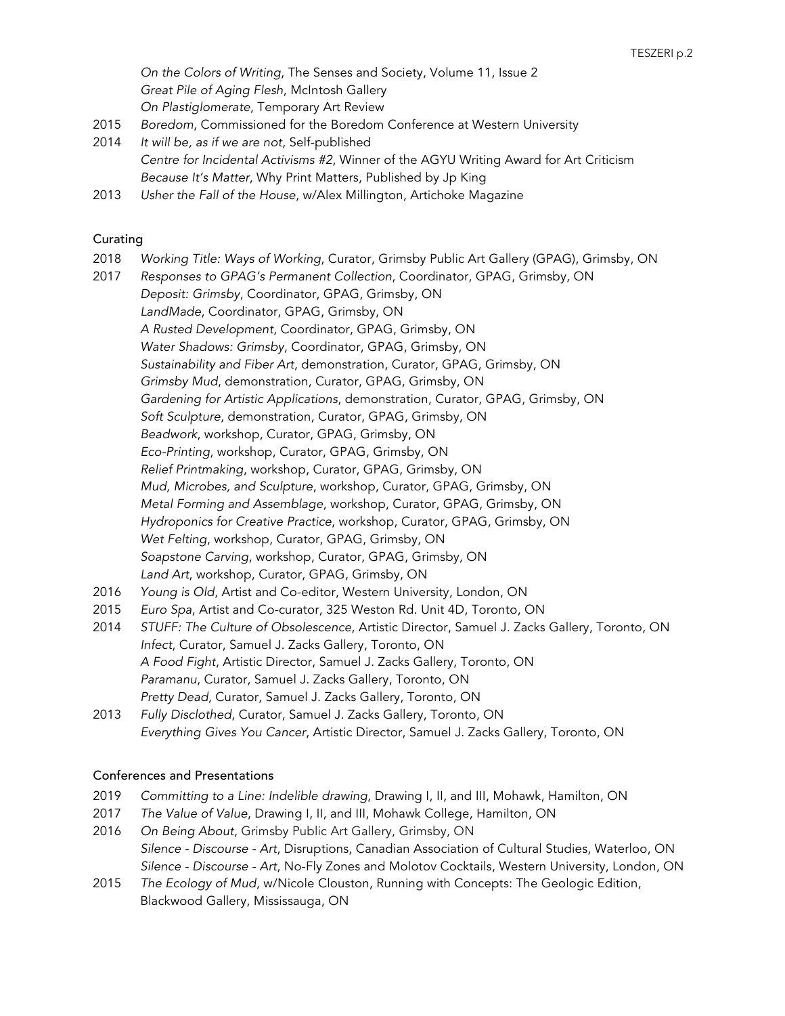*On the Colors of Writing*, The Senses and Society, Volume 11, Issue 2 *Great Pile of Aging Flesh*, McIntosh Gallery *On Plastiglomerate*, Temporary Art Review

- 2015 *Boredom*, Commissioned for the Boredom Conference at Western University
- 2014 *It will be, as if we are not*, Self-published *Centre for Incidental Activisms #2*, Winner of the AGYU Writing Award for Art Criticism *Because It's Matter*, Why Print Matters, Published by Jp King
- 2013 *Usher the Fall of the House*, w/Alex Millington, Artichoke Magazine

### Curating

- 2018 *Working Title: Ways of Working*, Curator, Grimsby Public Art Gallery (GPAG), Grimsby, ON
- 2017 2016 2015 2014 *Responses to GPAG's Permanent Collection*, Coordinator, GPAG, Grimsby, ON *Deposit: Grimsby*, Coordinator, GPAG, Grimsby, ON *LandMade*, Coordinator, GPAG, Grimsby, ON *A Rusted Development*, Coordinator, GPAG, Grimsby, ON *Water Shadows: Grimsby*, Coordinator, GPAG, Grimsby, ON *Sustainability and Fiber Art*, demonstration, Curator, GPAG, Grimsby, ON *Grimsby Mud*, demonstration, Curator, GPAG, Grimsby, ON *Gardening for Artistic Applications*, demonstration, Curator, GPAG, Grimsby, ON *Soft Sculpture*, demonstration, Curator, GPAG, Grimsby, ON *Beadwork*, workshop, Curator, GPAG, Grimsby, ON *Eco-Printing*, workshop, Curator, GPAG, Grimsby, ON *Relief Printmaking*, workshop, Curator, GPAG, Grimsby, ON *Mud, Microbes, and Sculpture*, workshop, Curator, GPAG, Grimsby, ON *Metal Forming and Assemblage*, workshop, Curator, GPAG, Grimsby, ON *Hydroponics for Creative Practice*, workshop, Curator, GPAG, Grimsby, ON *Wet Felting*, workshop, Curator, GPAG, Grimsby, ON *Soapstone Carving*, workshop, Curator, GPAG, Grimsby, ON *Land Art*, workshop, Curator, GPAG, Grimsby, ON *Young is Old*, Artist and Co-editor, Western University, London, ON *Euro Spa*, Artist and Co-curator, 325 Weston Rd. Unit 4D, Toronto, ON *STUFF: The Culture of Obsolescence*, Artistic Director, Samuel J. Zacks Gallery, Toronto, ON *Infect*, Curator, Samuel J. Zacks Gallery, Toronto, ON
- 2013 *A Food Fight*, Artistic Director, Samuel J. Zacks Gallery, Toronto, ON *Paramanu*, Curator, Samuel J. Zacks Gallery, Toronto, ON *Pretty Dead*, Curator, Samuel J. Zacks Gallery, Toronto, ON *Fully Disclothed*, Curator, Samuel J. Zacks Gallery, Toronto, ON
- *Everything Gives You Cancer*, Artistic Director, Samuel J. Zacks Gallery, Toronto, ON

### Conferences and Presentations

- 2019 *Committing to a Line: Indelible drawing*, Drawing I, II, and III, Mohawk, Hamilton, ON
- 2017 *The Value of Value*, Drawing I, II, and III, Mohawk College, Hamilton, ON
- 2016 *On Being About*, Grimsby Public Art Gallery, Grimsby, ON *Silence - Discourse - Art*, Disruptions, Canadian Association of Cultural Studies, Waterloo, ON *Silence - Discourse - Art*, No-Fly Zones and Molotov Cocktails, Western University, London, ON
- 2015 *The Ecology of Mud*, w/Nicole Clouston, Running with Concepts: The Geologic Edition, Blackwood Gallery, Mississauga, ON